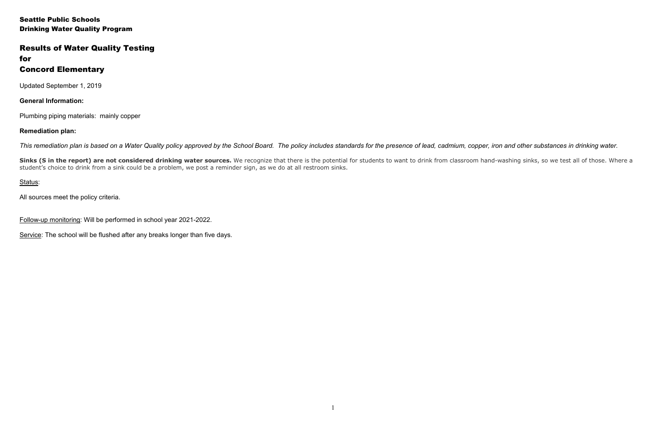Seattle Public Schools Drinking Water Quality Program

# Results of Water Quality Testing

# for Concord Elementary

Updated September 1, 2019

**General Information:**

Plumbing piping materials: mainly copper

### **Remediation plan:**

*This remediation plan is based on a Water Quality policy approved by the School Board. The policy includes standards for the presence of lead, cadmium, copper, iron and other substances in drinking water.* 

Sinks (S in the report) are not considered drinking water sources. We recognize that there is the potential for students to want to drink from classroom hand-washing sinks, so we test all of those. Where a student's choice to drink from a sink could be a problem, we post a reminder sign, as we do at all restroom sinks.

## Status:

All sources meet the policy criteria.

Follow-up monitoring: Will be performed in school year 2021-2022.

Service: The school will be flushed after any breaks longer than five days.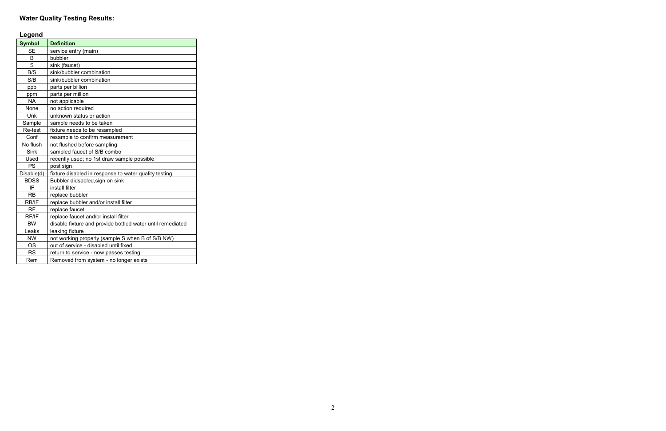# **Water Quality Testing Results:**

| Œ<br>eг<br>г<br>ı |  |
|-------------------|--|
|-------------------|--|

| reñeun        |                                                            |
|---------------|------------------------------------------------------------|
| <b>Symbol</b> | <b>Definition</b>                                          |
| <b>SE</b>     | service entry (main)                                       |
| B             | bubbler                                                    |
| S             | sink (faucet)                                              |
| B/S           | sink/bubbler combination                                   |
| S/B           | sink/bubbler combination                                   |
| ppb           | parts per billion                                          |
| ppm           | parts per million                                          |
| <b>NA</b>     | not applicable                                             |
| None          | no action required                                         |
| Unk           | unknown status or action                                   |
| Sample        | sample needs to be taken                                   |
| Re-test       | fixture needs to be resampled                              |
| Conf          | resample to confirm measurement                            |
| No flush      | not flushed before sampling                                |
| <b>Sink</b>   | sampled faucet of S/B combo                                |
| Used          | recently used; no 1st draw sample possible                 |
| PS            | post sign                                                  |
| Disable(d)    | fixture disabled in response to water quality testing      |
| <b>BDSS</b>   | Bubbler didsabled, sign on sink                            |
| IF            | install filter                                             |
| <b>RB</b>     | replace bubbler                                            |
| RB/IF         | replace bubbler and/or install filter                      |
| <b>RF</b>     | replace faucet                                             |
| RF/IF         | replace faucet and/or install filter                       |
| <b>BW</b>     | disable fixture and provide bottled water until remediated |
| Leaks         | leaking fixture                                            |
| <b>NW</b>     | not working properly (sample S when B of S/B NW)           |
| <b>OS</b>     | out of service - disabled until fixed                      |
| <b>RS</b>     | return to service - now passes testing                     |
| Rem           | Removed from system - no longer exists                     |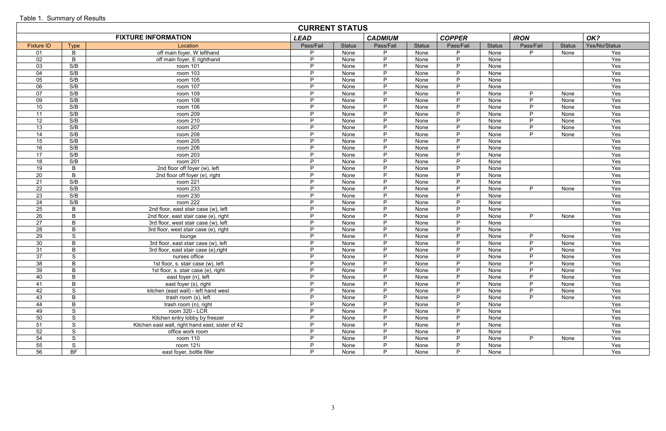|                   | <b>CURRENT STATUS</b> |                                                  |             |               |                |               |               |               |             |               |               |  |  |  |
|-------------------|-----------------------|--------------------------------------------------|-------------|---------------|----------------|---------------|---------------|---------------|-------------|---------------|---------------|--|--|--|
|                   |                       | <b>FIXTURE INFORMATION</b>                       | <b>LEAD</b> |               | <b>CADMIUM</b> |               | <b>COPPER</b> |               | <b>IRON</b> |               | OK?           |  |  |  |
| <b>Fixture ID</b> | <b>Type</b>           | Location                                         | Pass/Fail   | <b>Status</b> | Pass/Fail      | <b>Status</b> | Pass/Fail     | <b>Status</b> | Pass/Fail   | <b>Status</b> | Yes/No/Status |  |  |  |
| -01               | B                     | off main foyer, W lefthand                       | D           | None          | P              | None          | D             | None          |             | None          | Yes           |  |  |  |
| 02                | B                     | off main foyer, E righthand                      | P           | None          | $\mathsf{P}$   | None          | P             | None          |             |               | Yes           |  |  |  |
| 03                | S/B                   | room 101                                         | P.          | None          | P              | None          | P.            | None          |             |               | Yes           |  |  |  |
| 04                | S/B                   | room 103                                         | P           | None          | P              | None          | P.            | None          |             |               | Yes           |  |  |  |
| 05                | S/B                   | room 105                                         | D           | None          | P              | None          | P             | None          |             |               | Yes           |  |  |  |
| 06                | S/B                   | room 107                                         | D           | None          | P              | None          | P             | None          |             |               | Yes           |  |  |  |
| 07                | S/B                   | room 109                                         | D           | None          | D              | None          | P             | None          | D           | None          | Yes           |  |  |  |
| 09                | S/B                   | room 108                                         | P           | None          | P              | None          | P.            | None          | D           | None          | Yes           |  |  |  |
| 10                | S/B                   | room 106                                         | P.          | None          | D              | None          | P.            | None          | D           | None          | Yes           |  |  |  |
| 11                | S/B                   | room 209                                         | P           | None          | P              | None          | P             | None          | D           | None          | Yes           |  |  |  |
| 12                | S/B                   | room 210                                         | D           | None          | P              | None          | P.            | None          | D           | None          | Yes           |  |  |  |
| 13                | S/B                   | room 207                                         | D           | None          | P              | None          | P             | None          | D           | None          | Yes           |  |  |  |
| 14                | S/B                   | room 208                                         | D           | None          | P              | None          | P             | None          | D           | None          | Yes           |  |  |  |
| 15                | S/B                   | room 205                                         | P           | None          | P              | None          | P             | None          |             |               | Yes           |  |  |  |
| 16                | S/B                   | room 206                                         | P.          | None          | P              | None          | P.            | None          |             |               | Yes           |  |  |  |
| 17                | S/B                   | room 203                                         | P           | None          | P              | None          | P.            | None          |             |               | Yes           |  |  |  |
| 18                | S/B                   | room 201                                         | D           | None          | P              | None          | P             | None          |             |               | Yes           |  |  |  |
| 19                | B                     | 2nd floor off foyer (w), left                    | D           | None          | P              | None          | P             | None          |             |               | Yes           |  |  |  |
| 20                | B                     | 2nd floor off foyer (e), right                   | D           | None          | D              | None          | P             | None          |             |               | Yes           |  |  |  |
| 21                | S/B                   | room 221                                         | P           | None          | P              | None          | P.            | None          |             |               | Yes           |  |  |  |
| 22                | S/B                   | room 233                                         | P.          | None          | P              | None          | P.            | None          | <b>D</b>    | None          | Yes           |  |  |  |
| 23                | S/B                   | room 230                                         | P           | None          | P              | None          | P.            | None          |             |               | Yes           |  |  |  |
| 24                | S/B                   | room 222                                         | D           | None          | P              | None          | P.            | None          |             |               | Yes           |  |  |  |
| 25                | B                     | 2nd floor, east stair case (w), left             | D           | None          | P              | None          | P             | None          |             |               | Yes           |  |  |  |
| 26                | B                     | 2nd floor, east stair case (e), right            | D           | None          | P              | None          | P             | None          | D           | None          | Yes           |  |  |  |
| 27                | B                     | 3rd floor, west stair case (w), left             | P.          | None          | P              | None          | P             | None          |             |               | Yes           |  |  |  |
| 28                | B                     | 3rd floor, west stair case (e), right            | P.          | None          | P              | None          | P.            | None          |             |               | Yes           |  |  |  |
| 29                | S                     | lounge                                           | P           | None          | P              | None          | P.            | None          | D           | None          | Yes           |  |  |  |
| 30                | B                     | 3rd floor, east stair case (w), left             | D           | None          | P              | None          | P             | None          | P           | None          | Yes           |  |  |  |
| 31                | B                     | 3rd floor, east stair case (e), right            | D           | None          | P              | None          | P             | None          | D           | None          | Yes           |  |  |  |
| 37                | S                     | nurses office                                    | D           | None          | P              | None          | P             | None          | D           | None          | Yes           |  |  |  |
| 38                | B                     | 1st floor, s. stair case (w), left               | P           | None          | P              | None          | P.            | None          | D           | None          | Yes           |  |  |  |
| 39                | $\mathsf B$           | 1st floor, s. stair case (e), right              | P           | None          | P              | None          | P             | None          | P.          | None          | Yes           |  |  |  |
| 40                | B                     | east foyer (n), left                             | P           | None          | P              | None          | P             | None          | P           | None          | Yes           |  |  |  |
| 41                | B                     | east foyer (s), right                            | Þ           | None          | P              | None          | P.            | None          | <b>D</b>    | None          | Yes           |  |  |  |
| 42                | S                     | kitchen (east wall) - left hand west             | D           | None          | P              | None          | P             | None          | D           | None          | Yes           |  |  |  |
| 43                | $\sf B$               | trash room (s), left                             | D           | None          | P              | None          | P.            | None          | D           | None          | Yes           |  |  |  |
| 44                | $\mathsf B$           | trash room (n), right                            | P.          | None          | $\mathsf{P}$   | None          | P             | None          |             |               | Yes           |  |  |  |
| 49                | S                     | room 320 - LCR                                   | P           | None          | P              | None          | P.            | None          |             |               | Yes           |  |  |  |
| 50                | S                     | Kitchen entry lobby by freezer                   | P.          | None          | P              | None          | P.            | None          |             |               | Yes           |  |  |  |
| 51                | S                     | Kitchen east wall, right hand east; sister of 42 | P           | None          | P              | None          | P             | None          |             |               | Yes           |  |  |  |
| 52                | S                     | office work room                                 | P           | None          | P              | None          | P             | None          |             |               | Yes           |  |  |  |
| 54                | S                     | room 110                                         | D           | None          | P              | None          | P             | None          | D           | None          | Yes           |  |  |  |
| 55                | S                     | room 121i                                        | P.          | None          | P              | None          | P             | None          |             |               | Yes           |  |  |  |
| 56                | BF                    | east foyer, bottle filler                        | P.          | None          | D              | None          | P.            | None          |             |               | Yes           |  |  |  |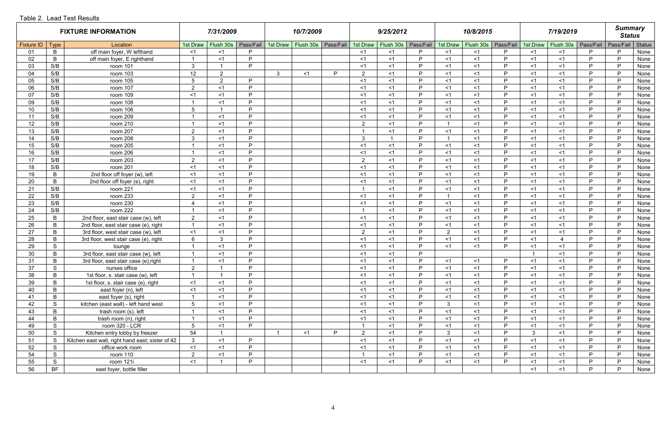### Table 2. Lead Test Results

|                   |               | <b>FIXTURE INFORMATION</b>                       |                 | 7/31/2009      |           |                | 10/7/2009 |           |                | 9/25/2012 |           |                | 10/8/2015 |           |              | 7/19/2019 |              | <b>Summary</b><br><b>Status</b> |        |
|-------------------|---------------|--------------------------------------------------|-----------------|----------------|-----------|----------------|-----------|-----------|----------------|-----------|-----------|----------------|-----------|-----------|--------------|-----------|--------------|---------------------------------|--------|
| Fixture ID   Type |               | Location                                         | 1st Draw        | Flush 30s      | Pass/Fail | 1st Draw       | Flush 30s | Pass/Fail | 1st Draw       | Flush 30s | Pass/Fail | 1st Draw       | Flush 30s | Pass/Fail | 1st Draw     | Flush 30s | Pass/Fail    | Pass/Fail                       | Status |
| 01                | B             | off main foyer, W lefthand                       | ั≺1             | $<$ 1          | P         |                |           |           | $<$ 1          | $<$ 1     | P         | ั≺1            | $<$ 1     | P         | $<$ 1        | -≺1       | P            | P                               | None   |
| 02                | B             | off main foyer, E righthand                      |                 | $<$ 1          | P         |                |           |           | $<$ 1          | $<$ 1     | P         | <1             | $<$ 1     | P.        | $<$ 1        | -≺1       | P            | P                               | None   |
| 03                | S/B           | room 101                                         | 3               |                | D         |                |           |           | $<$ 1          | $<$ 1     | P.        | $<$ 1          | $<$ 1     | P.        | $<$ 1        | $<$ 1     | P            | P                               | None   |
| 04                | S/B           | room 103                                         | 12              | $2^{\circ}$    |           | $\mathbf{3}$   | <1        | D         | $\overline{2}$ | $<$ 1     | P         | $<$ 1          | $<$ 1     | P.        | $<$ 1        | $<$ 1     | P            | P                               | None   |
| 05                | S/B           | room 105                                         | $\overline{5}$  | $\overline{2}$ | P         |                |           |           | $<$ 1          | $<$ 1     | P         | $<$ 1          | $<$ 1     | P.        | $<$ 1        | $<$ 1     | P            | P                               | None   |
| 06                | S/B           | room 107                                         | $\overline{2}$  | $<$ 1          | P.        |                |           |           | $<$ 1          | $<$ 1     | D         | $<$ 1          | $<$ 1     | D         | $<$ 1        | ั≺1       | P            | P                               | None   |
| 07                | S/B           | room 109                                         | $<$ 1           | $<$ 1          | P         |                |           |           | $<$ 1          | $<$ 1     | P.        | <1             | $<$ 1     | P.        | <1           | $\leq$ 1  | P            | P                               | None   |
| 09                | S/B           | room 108                                         |                 | $<$ 1          | P         |                |           |           | <1             | $<$ 1     | D         | <1             | $<$ 1     | D         | $<$ 1        | -≺1       | P            | P                               | None   |
| 10 <sup>°</sup>   | S/B           | room 106                                         | 5               |                | P         |                |           |           | $<$ 1          | $<$ 1     | P         | <1             | $<$ 1     | P.        | $<$ 1        | -≺1       | P            | P                               | None   |
| 11                | S/B           | room 209                                         |                 | $<$ 1          | P         |                |           |           | $<$ 1          | $<$ 1     | P         | $<$ 1          | $<$ 1     | P.        | $<$ 1        | $<$ 1     | P            | P                               | None   |
| 12 <sup>°</sup>   | S/B           | room 210                                         | - 1             | $<$ 1          | P         |                |           |           | $\overline{2}$ | $<$ 1     | P         | -1             | $<$ 1     | P.        | $<$ 1        | $\leq$ 1  | P            | P                               | None   |
| 13                | S/B           | room 207                                         | $\overline{2}$  | $<$ 1          | D         |                |           |           |                | $<$ 1     | P.        | $<$ 1          | $<$ 1     | P.        | $<$ 1        | ั≺1       | P            | P                               | None   |
| 14                | S/B           | room 208                                         | $\mathbf{3}$    | $<$ 1          | P         |                |           |           | $\mathbf{3}$   |           | P.        | -1             | $<$ 1     | P.        | $<$ 1        | -≺1       | P            | P                               | None   |
| 15 <sub>15</sub>  | S/B           | room 205                                         |                 | $<$ 1          | P         |                |           |           | $<$ 1          | $<$ 1     | P         | $<$ 1          | $<$ 1     | P.        | $<$ 1        | $<$ 1     | P            | P                               | None   |
| 16                | S/B           | room 206                                         |                 | $<$ 1          | D         |                |           |           | $<$ 1          | $<$ 1     | P         | <1             | $<$ 1     | D         | $<$ 1        | $<$ 1     | <b>P</b>     | P                               | None   |
| 17                | S/B           | room 203                                         | $\overline{2}$  | $<$ 1          | D         |                |           |           | $\overline{2}$ | $<$ 1     | D         | $<$ 1          | $<$ 1     | D         | <1           | $<$ 1     | P            | P                               | None   |
| 18                | S/B           | room 201                                         | <1              | $<$ 1          | D         |                |           |           | < 1            | $<$ 1     | P.        | <1             | $<$ 1     | D         | <1           | $<$ 1     | P            | P                               | None   |
| 19                | B             | 2nd floor off foyer (w), left                    | $<$ 1           | $<$ 1          | <b>P</b>  |                |           |           | <1             | $<$ 1     | <b>P</b>  | $<$ 1          | $<$ 1     | D         | $<$ 1        | ั≺1       | <b>P</b>     | P                               | None   |
| 20                | B             | 2nd floor off foyer (e), right                   | $<$ 1           | $<$ 1          | P         |                |           |           | $<$ 1          | $<$ 1     | P         | <1             | $<$ 1     | P.        | $<$ 1        | ั≺1       | P            | P                               | None   |
| 21                | S/B           | room 221                                         | $<$ 1           | $<$ 1          | P         |                |           |           |                | $<$ 1     | P         | $<$ 1          | $<$ 1     | P.        | $<$ 1        | $\leq$ 1  | P            | P                               | None   |
| 22                | S/B           | room 233                                         | $\overline{2}$  | $<$ 1          | P         |                |           |           | $<$ 1          | $<$ 1     | P.        | -1             | $<$ 1     | P.        | $<$ 1        | $\leq$ 1  | P            | P                               | None   |
| 23                | S/B           | room 230                                         | $\Delta$        | $<$ 1          | P         |                |           |           | $<$ 1          | $<$ 1     | P         | $<$ 1          | $<$ 1     | P.        | < 1          | $<$ 1     | P            | P                               | None   |
| 24                | S/B           | room 222                                         |                 | $<$ 1          | P         |                |           |           |                | $<$ 1     | <b>P</b>  | $<$ 1          | $<$ 1     | D.        | $<$ 1        | $<$ 1     | P            | P                               | None   |
| 25                | B             | 2nd floor, east stair case (w), left             | $\overline{2}$  | $<$ 1          | P         |                |           |           | <1             | $<$ 1     | <b>P</b>  | <1             | $<$ 1     | P.        | <1           | $<$ 1     | P            | P                               | None   |
| 26                | B             | 2nd floor, east stair case (e), right            |                 | $<$ 1          | D         |                |           |           | $<$ 1          | $<$ 1     | P.        | $<$ 1          | $<$ 1     | D         | $<$ 1        | ั≺1       | P            | P                               | None   |
| 27                | B             | 3rd floor, west stair case (w), left             | $<$ 1           | $<$ 1          | P         |                |           |           | $\overline{2}$ | $<$ 1     | P.        | $\overline{2}$ | $<$ 1     | P.        | $<$ 1        | -≺1       | P            | P                               | None   |
| 28                | B             | 3rd floor, west stair case (e), right            | 6               | 3              | D         |                |           |           | $<$ 1          | $<$ 1     | <b>P</b>  | <1             | $<$ 1     | P.        | $<$ 1        |           | P            | P                               | None   |
| 29                | S             | lounge                                           |                 | $<$ 1          | P         |                |           |           | $<$ 1          | $<$ 1     | P         | $<$ 1          | $<$ 1     | P.        | $<$ 1        | $<$ 1     | P            | P                               | None   |
| 30                | B             | 3rd floor, east stair case (w), left             | - 1             | $<$ 1          | P         |                |           |           | $<$ 1          | $<$ 1     | P         |                |           |           | -1           | $<$ 1     | P            | P                               | None   |
| 31                | B             | 3rd floor, east stair case (e), right            |                 | $<$ 1          | D         |                |           |           | $<$ 1          | $<$ 1     | P         | $<$ 1          | $<$ 1     | P         | $<$ 1        | <1        | P            | P                               | None   |
| 37                | ${\mathsf S}$ | nurses office                                    | $\overline{2}$  |                | P         |                |           |           | $<$ 1          | $<$ 1     | P         | $<$ 1          | $<$ 1     | P.        | < 1          | $<$ 1     | $\mathsf{P}$ | P                               | None   |
| 38                | $\mathsf B$   | 1st floor, s. stair case (w), left               |                 |                | P         |                |           |           | <1             | $<$ 1     | P         | $<$ 1          | $<$ 1     | P.        | <1           | $\leq$ 1  | P            | P                               | None   |
| 39                | B             | 1st floor, s. stair case (e), right              | $<$ 1           | <1             | P         |                |           |           | $<$ 1          | $<$ 1     | P         | <1             | $<$ 1     | P.        | $<$ 1        | $<$ 1     | P            | P                               | None   |
| 40                | B             | east foyer (n), left                             | <1              | $<$ 1          | P         |                |           |           | $<$ 1          | $<$ 1     | P         | <1             | $<$ 1     | P.        | <1           | $<$ 1     | P            | P                               | None   |
| 41                | B             | east foyer (s), right                            |                 | $<$ 1          | P         |                |           |           | $<$ 1          | $<$ 1     | P         | <1             | $<$ 1     | P.        | <1           | <1        | P            | P                               | None   |
| 42                | S             | kitchen (east wall) - left hand west             | $5\overline{5}$ | $<$ 1          | P         |                |           |           | <1             | $<$ 1     | P         | $\mathbf{3}$   | $<$ 1     | P.        | <1           | $\leq$ 1  | P.           | P                               | None   |
| 43                | B             | trash room (s), left                             |                 | $<$ 1          | P         |                |           |           | <1             | $<$ 1     | P         | <1             | $<$ 1     | P         | $<$ 1        | $<$ 1     | P            | P                               | None   |
| 44                | B             | trash room (n), right                            |                 | $<$ 1          | P         |                |           |           | $<$ 1          | $<$ 1     | P         | <1             | $<$ 1     | P.        | $<$ 1        | $\leq$ 1  | P            | P                               | None   |
| 49                | S             | room 320 - LCR                                   | 5               | $<$ 1          | P.        |                |           |           |                | $<$ 1     | P         | <1             | $<$ 1     | P         | < 1          | $<$ 1     | P            | P                               | None   |
| 50                | S             | Kitchen entry lobby by freezer                   | 54              |                |           | $\overline{1}$ | $<$ 1     | D         | $\overline{2}$ | $<$ 1     | <b>D</b>  | $\mathbf{3}$   | $<$ 1     | <b>D</b>  | $\mathbf{3}$ | $<$ 1     | P            | P                               | None   |
| 51                | S             | Kitchen east wall, right hand east; sister of 42 | $\mathbf{3}$    | $<$ 1          | P         |                |           |           | $<$ 1          | $<$ 1     | P         | <1             | $<$ 1     | P.        | <1           | $<$ 1     | P            | P                               | None   |
| 52                | S             | office work room                                 | <1              | $<$ 1          | P.        |                |           |           | <1             | $<$ 1     | P         | <1             | $<$ 1     | P         | <1           | $<$ 1     | P            | P                               | None   |
| 54                | S             | room 110                                         | $\overline{2}$  | $<$ 1          | P         |                |           |           |                | $<$ 1     | P         | $<$ 1          | $<$ 1     | P.        | $<$ 1        | $<$ 1     | P            | P                               | None   |
| 55                | S             | room 121i                                        | <1              |                | P         |                |           |           | $<$ 1          | $<$ 1     | P         | <1             | $<$ 1     | P.        | < 1          | $<$ 1     | P            | P                               | None   |
| 56                | <b>BF</b>     | east foyer, bottle filler                        |                 |                |           |                |           |           |                |           |           |                |           |           | < 1          | <1        | P            | P                               | None   |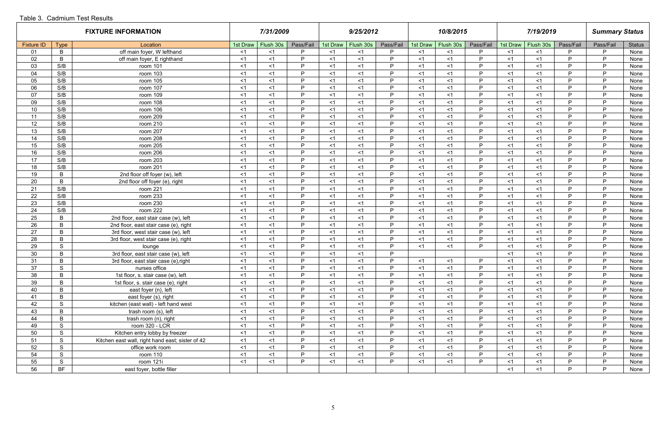### Table 3. Cadmium Test Results

|                   |                | <b>FIXTURE INFORMATION</b>                       |          | 7/31/2009 |           |          | 9/25/2012 |           |          | 10/8/2015 |           |          | 7/19/2019 |              | <b>Summary Status</b> |               |
|-------------------|----------------|--------------------------------------------------|----------|-----------|-----------|----------|-----------|-----------|----------|-----------|-----------|----------|-----------|--------------|-----------------------|---------------|
| <b>Fixture ID</b> | <b>Type</b>    | Location                                         | 1st Draw | Flush 30s | Pass/Fail | 1st Draw | Flush 30s | Pass/Fail | 1st Draw | Flush 30s | Pass/Fail | 1st Draw | Flush 30s | Pass/Fail    | Pass/Fail             | <b>Status</b> |
| 01                | B              | off main foyer, W lefthand                       | $<$ 1    | $<$ 1     | D         | $<$ 1    | $<$ 1     | P         | $<$ 1    | $<$ 1     | D.        | $<$ 1    | $<$ 1     | P            | P.                    | None          |
| 02                | B              | off main foyer, E righthand                      | $<$ 1    | $<$ 1     | D         | $<$ 1    | $<$ 1     | P         | $<$ 1    | $<$ 1     | D         | $<$ 1    | $<$ 1     | P            | P                     | None          |
| 03                | S/B            | room 101                                         | $<$ 1    | $<$ 1     | D         | $<$ 1    | $<$ 1     | D         | $<$ 1    | $<$ 1     | D         | $<$ 1    | $<$ 1     | D            | P                     | None          |
| 04                | S/B            | room 103                                         | $<$ 1    | $<$ 1     | D         | $<$ 1    | $<$ 1     | D         | $<$ 1    | $<$ 1     | D         | $<$ 1    | $<$ 1     | D            | P                     | None          |
| 05                | S/B            | room 105                                         | $<$ 1    | <1        | D         | $<$ 1    | $<$ 1     | D         | $<$ 1    | <1        | D         | $<$ 1    | $<$ 1     | D            | P                     | None          |
| 06                | S/B            | room 107                                         | $<$ 1    | $<$ 1     | D         | $<$ 1    | $<$ 1     | P         | $<$ 1    | $<$ 1     | D         | $<$ 1    | $<$ 1     | D            | P                     | None          |
| 07                | S/B            | room 109                                         | $<$ 1    | $<$ 1     | D.        | $<$ 1    | $<$ 1     | P         | $<$ 1    | <1        | D         | $<$ 1    | $<$ 1     | P            | P.                    | None          |
| 09                | S/B            | room 108                                         | $<$ 1    | $<$ 1     | D         | $<$ 1    | $<$ 1     | P         | $<$ 1    | $<$ 1     | D         | $<$ 1    | $<$ 1     | D            | P                     | None          |
| 10                | S/B            | room 106                                         | $<$ 1    | $<$ 1     | D         | $<$ 1    | $<$ 1     | P         | $<$ 1    | <1        | D.        | $<$ 1    | $<$ 1     | D            | P                     | None          |
| 11                | S/B            | room 209                                         | $<$ 1    | < 1       | D         | $<$ 1    | <1        | P         | $<$ 1    | <1        | D         | $<$ 1    | $<$ 1     | D            | P                     | None          |
| 12                | S/B            | room 210                                         | $<$ 1    | $<$ 1     | D         | $<$ 1    | $<$ 1     | P         | $<$ 1    | $<$ 1     | D         | $<$ 1    | $<$ 1     | D            | P                     | None          |
| 13                | S/B            | room 207                                         | $<$ 1    | <1        | D         | $<$ 1    | $<$ 1     | <b>D</b>  | $<$ 1    | < 1       | D         | $<$ 1    | $<$ 1     | D            | <b>D</b>              | None          |
| 14                | S/B            | room 208                                         | $<$ 1    | <1        | D         | $<$ 1    | $<$ 1     | <b>D</b>  | $<$ 1    | <1        | D         | $<$ 1    | $<$ 1     | D            | P                     | None          |
| 15                | S/B            | room 205                                         | $<$ 1    | $<$ 1     | D         | $<$ 1    | $<$ 1     | P         | $<$ 1    | $<$ 1     | D         | $<$ 1    | $<$ 1     | D            | P.                    | None          |
| 16                | S/B            | room 206                                         | $<$ 1    | < 1       | D         | $<$ 1    | <1        | P         | $<$ 1    | <1        | D         | $<$ 1    | $<$ 1     | D            | <b>D</b>              | None          |
| 17                | S/B            | room 203                                         | $<$ 1    | $<$ 1     | D         | $<$ 1    | $<$ 1     | P         | $<$ 1    | $<$ 1     | D         | $<$ 1    | $<$ 1     | D            | P                     | None          |
| 18                | S/B            | room 201                                         | $<$ 1    | < 1       | D         | $<$ 1    | $<$ 1     | P         | $<$ 1    | <1        | D         | $<$ 1    | $<$ 1     | D            | P                     | None          |
| 19                | $\mathsf B$    | 2nd floor off foyer (w), left                    | $<$ 1    | $<$ 1     | D         | $<$ 1    | $<$ 1     | P         | $<$ 1    | $<$ 1     | D         | $<$ 1    | $<$ 1     | D            | P                     | None          |
| 20                | B              | 2nd floor off foyer (e), right                   | $<$ 1    | $<$ 1     | D         | $<$ 1    | $<$ 1     | P         | $<$ 1    | <1        | D         | $<$ 1    | $<$ 1     | D            | P                     | None          |
| 21                | S/B            | room 221                                         | $<$ 1    | $<$ 1     | D         | $<$ 1    | $<$ 1     | P         | $<$ 1    | $<$ 1     | D         | $<$ 1    | $<$ 1     | D            | P                     | None          |
| 22                | S/B            | room 233                                         | $<$ 1    | $<$ 1     | D         | $<$ 1    | $<$ 1     | P         | $<$ 1    | $<$ 1     | D         | $<$ 1    | $<$ 1     | D            | P                     | None          |
| 23                | S/B            | room 230                                         | $<$ 1    | $<$ 1     | D         | $<$ 1    | $<$ 1     | P         | $<$ 1    | <1        | D         | $<$ 1    | $<$ 1     | D            | P                     | None          |
| 24                | S/B            | room 222                                         | $<$ 1    | <1        | D         | $<$ 1    | $<$ 1     | P         | $<$ 1    | $<$ 1     | D         | $<$ 1    | $<$ 1     | D            | P.                    | None          |
| 25                | B              | 2nd floor, east stair case (w), left             | $<$ 1    | <1        | D         | $<$ 1    | $<$ 1     | <b>D</b>  | $<$ 1    | $<$ 1     | D         | $<$ 1    | $<$ 1     | D            | P                     | None          |
| 26                | B              | 2nd floor, east stair case (e), right            | $<$ 1    | $<$ 1     | D         | $<$ 1    | <1        | P         | $<$ 1    | <1        | D         | $<$ 1    | $<$ 1     | D            | P                     | None          |
| 27                | B              | 3rd floor, west stair case (w), left             | $<$ 1    | $<$ 1     | D.        | $<$ 1    | $<$ 1     | P         | $<$ 1    | $<$ 1     | D         | $<$ 1    | $<$ 1     | P            | P.                    | None          |
| 28                | $\mathsf B$    | 3rd floor, west stair case (e), right            | $<$ 1    | <1        | D         | $<$ 1    | <1        | <b>D</b>  | $<$ 1    | <1        | D         | $<$ 1    | <1        | D            | P                     | None          |
| 29                | S              | lounge                                           | $<$ 1    | $<$ 1     | D         | $<$ 1    | $<$ 1     | P         | $<$ 1    | $<$ 1     | D.        | $<$ 1    | $<$ 1     | D            | P                     | None          |
| 30                | B              | 3rd floor, east stair case (w), left             | $<$ 1    | $<$ 1     | D         | $<$ 1    | $<$ 1     | D         |          |           |           | $<$ 1    | $<$ 1     | D            | P                     | None          |
| 31                | $\overline{B}$ | 3rd floor, east stair case (e), right            | $<$ 1    | $<$ 1     | D         | $<$ 1    | $<$ 1     | <b>D</b>  | $<$ 1    | $<$ 1     | D         | $<$ 1    | $<$ 1     | D            | P                     | None          |
| 37                | ${\mathsf S}$  | nurses office                                    | $<$ 1    | $<$ 1     | P.        | $<$ 1    | $<$ 1     | P         | $<$ 1    | $<$ 1     | D.        | $<$ 1    | $<$ 1     | P            | P                     | None          |
| 38                | $\mathsf B$    | 1st floor, s. stair case (w), left               | $<$ 1    | $<$ 1     | D.        | $<$ 1    | $<$ 1     | P         | $<$ 1    | $<$ 1     | D.        | $<$ 1    | $<$ 1     | P            | P                     | None          |
| 39                | $\mathsf B$    | 1st floor, s. stair case (e), right              | $<$ 1    | $<$ 1     | P.        | $<$ 1    | <1        | P         | $<$ 1    | $<$ 1     | P         | $<$ 1    | $<$ 1     | P            | P                     | None          |
| 40                | $\mathsf B$    | east foyer (n), left                             | $<$ 1    | $<$ 1     | D.        | $<$ 1    | $<$ 1     | <b>D</b>  | $<$ 1    | $<$ 1     | D.        | $<$ 1    | $<$ 1     | D            | P                     | None          |
| 41                | $\, {\sf B}$   | east foyer (s), right                            | $<$ 1    | $<$ 1     | D         | $<$ 1    | $<$ 1     | P         | $<$ 1    | $<$ 1     | D         | $<$ 1    | $<$ 1     | P            | P                     | None          |
| 42                | S              | kitchen (east wall) - left hand west             | $<$ 1    | $<$ 1     | D         | $<$ 1    | $<$ 1     | P         | $<$ 1    | $<$ 1     | D         | $<$ 1    | $<$ 1     | P            | P                     | None          |
| 43                | $\mathsf B$    | trash room (s), left                             | $<$ 1    | $<$ 1     | D.        | $<$ 1    | $<$ 1     | P         | $<$ 1    | $<$ 1     | D.        | $<$ 1    | $<$ 1     | P            | P                     | None          |
| 44                | $\mathsf B$    | trash room (n), right                            | $<$ 1    | <1        | P.        | $<$ 1    | $<$ 1     | P         | $<$ 1    | <1        | D.        | $<$ 1    | $<$ 1     | P            | P                     | None          |
| 49                | S              | room 320 - LCR                                   | $<$ 1    | $<$ 1     | D.        | $<$ 1    | $<$ 1     | P         | $<$ 1    | $<$ 1     | D.        | $<$ 1    | $<$ 1     | P            | P                     | None          |
| 50                | S              | Kitchen entry lobby by freezer                   | $<$ 1    | $<$ 1     | D         | $<$ 1    | $<$ 1     | P         | $<$ 1    | <1        | D         | $<$ 1    | $<$ 1     | P            | P                     | None          |
| 51                | S              | Kitchen east wall, right hand east; sister of 42 | $<$ 1    | $<$ 1     | D         | $<$ 1    | <1        | <b>D</b>  | $<$ 1    | $<$ 1     | D         | $<$ 1    | $<$ 1     | D            | P                     | None          |
| 52                | S              | office work room                                 | $<$ 1    | $<$ 1     | D.        | $<$ 1    | <1        | P         | $<$ 1    | $<$ 1     | P.        | $<$ 1    | $<$ 1     | $\mathsf{P}$ | P                     | None          |
| 54                | S              | room 110                                         | $<$ 1    | <1        | P.        | $<$ 1    | <1        | P         | $<$ 1    | $<$ 1     | P.        | $<$ 1    | <1        | P            | P                     | None          |
| 55                | S              | room 121i                                        | $<$ 1    | $<$ 1     | P.        | $<$ 1    | $<$ 1     | P         | $<$ 1    | $<$ 1     | D.        | $<$ 1    | $<$ 1     | D            | P                     | None          |
| 56                | <b>BF</b>      | east foyer, bottle filler                        |          |           |           |          |           |           |          |           |           | $<$ 1    | $<$ 1     | P            | P                     | None          |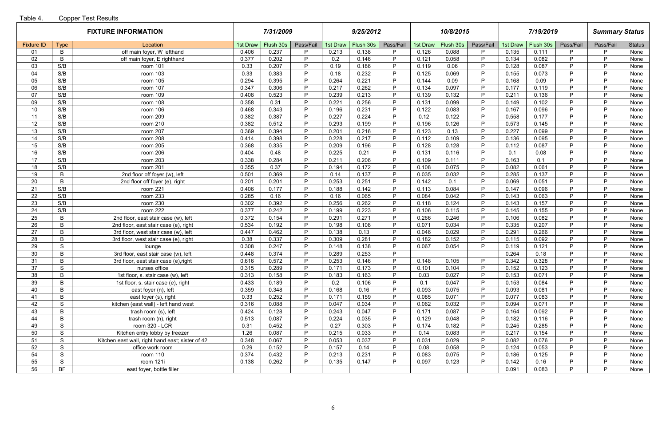|                   |               | <b>FIXTURE INFORMATION</b>                       |                | 7/31/2009      |           |              | 9/25/2012     |           |              | 10/8/2015      |           |                | 7/19/2019      |                   | <b>Summary Status</b> |               |
|-------------------|---------------|--------------------------------------------------|----------------|----------------|-----------|--------------|---------------|-----------|--------------|----------------|-----------|----------------|----------------|-------------------|-----------------------|---------------|
| <b>Fixture ID</b> | <b>Type</b>   | Location                                         | 1st Draw       | Flush 30s      | Pass/Fail | 1st Draw     | Flush 30s     | Pass/Fail | 1st Draw     | Flush 30s      | Pass/Fail | 1st Draw       | Flush 30s      | Pass/Fail         | Pass/Fail             | <b>Status</b> |
| 01                | B             | off main foyer, W lefthand                       | 0.406          | 0.237          | P         | 0.213        | 0.138         | D         | 0.126        | 0.088          | P         | 0.135          | 0.111          | P                 | P                     | None          |
| 02 <sub>2</sub>   | B             | off main foyer, E righthand                      | 0.377          | 0.202          | P         | 0.2          | 0.146         | D         | 0.121        | 0.058          | P         | 0.134          | 0.082          | P                 | P                     | None          |
| 03                | S/B           | room 101                                         | 0.33           | 0.207          | P         | 0.19         | 0.186         | D         | 0.119        | 0.06           | P         | 0.128          | 0.087          | P                 | P                     | None          |
| 04                | S/B           | room 103                                         | 0.33           | 0.383          | P         | 0.18         | 0.232         | D         | 0.125        | 0.069          | P         | 0.155          | 0.073          | P                 | P                     | None          |
| 05                | S/B           | room 105                                         | 0.294          | 0.395          | P         | 0.264        | 0.221         | D         | 0.144        | 0.09           | P         | 0.168          | 0.09           | P                 | P                     | None          |
| 06                | S/B           | room 107                                         | 0.347          | 0.306          | P         | 0.217        | 0.262         | P         | 0.134        | 0.097          | P         | 0.177          | 0.119          | D                 | P                     | None          |
| 07                | S/B           | room 109                                         | 0.408          | 0.523          | P         | 0.239        | 0.213         | D         | 0.139        | 0.132          | P         | 0.211          | 0.136          | P                 | P                     | None          |
| 09                | S/B           | room 108                                         | 0.358          | 0.31           | P         | 0.221        | 0.256         | D         | 0.131        | 0.099          | P         | 0.149          | 0.102          | P                 | P                     | None          |
| 10                | S/B           | room 106                                         | 0.468          | 0.343          | P         | 0.196        | 0.231         | D         | 0.122        | 0.083          | P         | 0.167          | 0.096          | P                 | P                     | None          |
| 11                | S/B           | room 209                                         | 0.382          | 0.387          | P         | 0.227        | 0.224         | P         | 0.12         | 0.122          | P         | 0.558          | 0.177          | P                 | P                     | None          |
| 12                | S/B           | room 210                                         | 0.382          | 0.512          | P         | 0.293        | 0.199         | P         | 0.196        | 0.126          | P         | 0.573          | 0.145          | P                 | P                     | None          |
| 13                | S/B           | room 207                                         | 0.369          | 0.394          | P         | 0.201        | 0.216         | P         | 0.123        | 0.13           | P         | 0.227          | 0.099          | P                 | P                     | None          |
| 14                | S/B           | room 208                                         | 0.414          | 0.398          | P         | 0.228        | 0.217         | D         | 0.112        | 0.109          | P         | 0.136          | 0.095          | <b>D</b>          | P                     | None          |
| 15                | S/B           | room 205                                         | 0.368          | 0.335          | P         | 0.209        | 0.196         | D         | 0.128        | 0.128          | P         | 0.112          | 0.087          | P                 | P                     | None          |
| 16                | S/B           | room 206                                         | 0.404          | 0.48           | P         | 0.225        | 0.21          | D         | 0.131        | 0.116          | P         | 0.1            | 0.08           | P                 | P                     | None          |
| 17                | S/B           | room 203                                         | 0.338          | 0.284          | P         | 0.211        | 0.206         | D         | 0.109        | 0.111          | P         | 0.163          | 0.1            | D                 | P                     | None          |
| 18                | S/B           | room 201                                         | 0.355          | 0.37           | P         | 0.194        | 0.172         | P         | 0.108        | 0.075          | P         | 0.082          | 0.061          | P                 | P                     | None          |
| 19                | B             | 2nd floor off foyer (w), left                    | 0.501          | 0.369          | P         | 0.14         | 0.137         | D         | 0.035        | 0.032          | P         | 0.285          | 0.137          | D                 | P                     | None          |
| 20                | B             | 2nd floor off foyer (e), right                   | 0.201          | 0.201          | P.        | 0.253        | 0.251         | D         | 0.142        | 0.1            | P         | 0.069          | 0.051          | D                 | P                     | None          |
| 21                | S/B           | room 221                                         | 0.406          | 0.177          | P         | 0.188        | 0.142         | <b>D</b>  | 0.113        | 0.084          | P         | 0.147          | 0.096          | P                 | P                     | None          |
| 22                | S/B           | room 233                                         | 0.285          | 0.16           | P         | 0.16         | 0.065         | D         | 0.084        | 0.042          | P         | 0.143          | 0.063          | P                 | P                     | None          |
| 23                | S/B           | room 230                                         | 0.302          | 0.392          | P         | 0.256        | 0.262         | <b>D</b>  | 0.118        | 0.124          | P         | 0.143          | 0.157          | P                 | P                     | None          |
| 24                | S/B           | room 222                                         | 0.377          | 0.242          | P         | 0.199        | 0.223         | D         | 0.106        | 0.115          | P         | 0.145          | 0.155          | P                 | P                     | None          |
| 25                | B             | 2nd floor, east stair case (w), left             | 0.372          | 0.154          | P         | 0.291        | 0.271         | D         | 0.266        | 0.246          | P         | 0.106          | 0.082          | D                 | P                     | None          |
| 26                | B             | 2nd floor, east stair case (e), right            | 0.534          | 0.192          | P         | 0.198        | 0.108         | D         | 0.071        | 0.034          | P         | 0.335          | 0.207          | D.                | P                     | None          |
| 27                | B             | 3rd floor, west stair case (w), left             | 0.447          | 0.462          | P         | 0.138        | 0.13          | D         | 0.046        | 0.029          | P         | 0.291          | 0.266          | P                 | P                     | None          |
| 28                | B             | 3rd floor, west stair case (e), right            | 0.38           | 0.337          | P         | 0.309        | 0.281         | D         | 0.182        | 0.152          | P         | 0.115          | 0.092          | P                 | P                     | None          |
| 29                | S             | lounge                                           | 0.308          | 0.247          | P         | 0.148        | 0.138         | P         | 0.067        | 0.054          | P         | 0.119          | 0.121          | P                 | P                     | None          |
| 30                | B             | 3rd floor, east stair case (w), left             | 0.448          | 0.374          | P         | 0.289        | 0.253         | D         |              |                |           | 0.264          | 0.18           | P<br>P            | P                     | None          |
| 31                | B             | 3rd floor, east stair case (e), right            | 0.616          | 0.572          | P<br>P    | 0.253        | 0.146         | P<br>P.   | 0.148        | 0.105          | P         | 0.342          | 0.328          |                   | P                     | None          |
| 37                | ${\mathsf S}$ | nurses office                                    | 0.315          | 0.289          | P         | 0.171        | 0.173         | D         | 0.101        | 0.104          | P<br>P    | 0.152          | 0.123          | $\mathsf{P}$<br>P | P<br>P                | None          |
| 38                | B             | 1st floor, s. stair case (w), left               | 0.313          | 0.158          | P         | 0.183        | 0.163         | D         | 0.03         | 0.027<br>0.047 | P.        | 0.153          | 0.071          | P                 | P                     | None          |
| 39<br>40          | B<br>B        | 1st floor, s. stair case (e), right              | 0.433<br>0.359 | 0.189<br>0.348 | P         | 0.2<br>0.168 | 0.106         | D         | 0.1<br>0.093 | 0.075          | P         | 0.153<br>0.093 | 0.084<br>0.081 | P                 | P                     | None          |
| 41                | B             | east foyer (n), left<br>east foyer (s), right    | 0.33           | 0.252          | P         | 0.171        | 0.16<br>0.159 | D         | 0.085        | 0.071          | P         | 0.077          | 0.083          | D                 | P                     | None          |
| 42                | S             | kitchen (east wall) - left hand west             | 0.316          | 0.088          | P         | 0.047        | 0.034         | <b>D</b>  | 0.062        | 0.032          | P         | 0.094          | 0.071          | P                 | P                     | None          |
| 43                | B             | trash room (s), left                             | 0.424          | 0.128          | P         | 0.243        | 0.047         | <b>D</b>  | 0.171        | 0.087          | P         | 0.164          | 0.092          | P                 | P                     | None<br>None  |
| 44                | B             | trash room (n), right                            | 0.513          | 0.087          | P         | 0.224        | 0.035         | D         | 0.129        | 0.048          | P         | 0.182          | 0.116          | P                 | P                     | None          |
| 49                | S             | room 320 - LCR                                   | 0.31           | 0.452          | P         | 0.27         | 0.303         | D         | 0.174        | 0.182          | P         | 0.245          | 0.285          | P                 | P                     |               |
| 50                | S             | Kitchen entry lobby by freezer                   | 1.26           | 0.087          | P         | 0.215        | 0.033         | D         | 0.14         | 0.083          | P         | 0.217          | 0.154          | P                 | P                     | None<br>None  |
| 51                | S             | Kitchen east wall, right hand east; sister of 42 | 0.348          | 0.067          | P         | 0.053        | 0.037         | P         | 0.031        | 0.029          | P         | 0.082          | 0.076          | P                 | P                     | None          |
| 52                | S             | office work room                                 | 0.29           | 0.152          | P         | 0.157        | 0.14          | D         | 0.08         | 0.058          | P         | 0.124          | 0.053          | P                 | P                     | None          |
| 54                | S             | room 110                                         | 0.374          | 0.432          | P         | 0.213        | 0.231         | D         | 0.083        | 0.075          | P.        | 0.186          | 0.125          | P                 | P                     | None          |
| 55                | S             | room 121i                                        | 0.138          | 0.262          | P         | 0.135        | 0.147         | D         | 0.097        | 0.123          | P         | 0.142          | 0.16           | D                 | P                     | None          |
| 56                | <b>BF</b>     | east foyer, bottle filler                        |                |                |           |              |               |           |              |                |           | 0.091          | 0.083          | P                 | P                     | None          |
|                   |               |                                                  |                |                |           |              |               |           |              |                |           |                |                |                   |                       |               |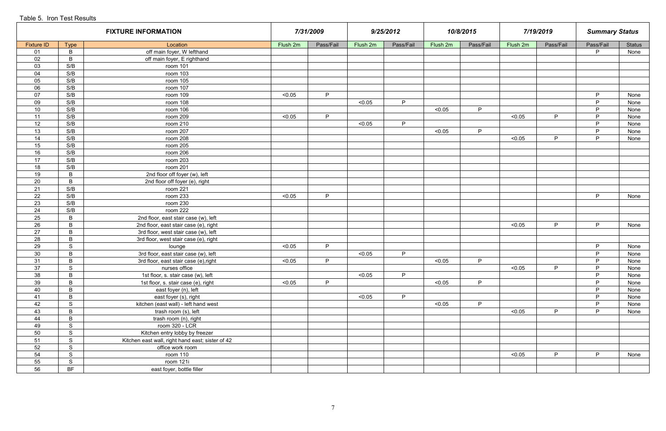|                   |                | <b>FIXTURE INFORMATION</b>                       |          | 7/31/2009 |          | 9/25/2012 |          | 10/8/2015 |          | 7/19/2019 | <b>Summary Status</b> |               |
|-------------------|----------------|--------------------------------------------------|----------|-----------|----------|-----------|----------|-----------|----------|-----------|-----------------------|---------------|
| <b>Fixture ID</b> | <b>Type</b>    | Location                                         | Flush 2m | Pass/Fail | Flush 2m | Pass/Fail | Flush 2m | Pass/Fail | Flush 2m | Pass/Fail | Pass/Fail             | <b>Status</b> |
| 01                | $\, {\bf B}$   | off main foyer, W lefthand                       |          |           |          |           |          |           |          |           | P                     | None          |
| 02                | $\mathsf B$    | off main foyer, E righthand                      |          |           |          |           |          |           |          |           |                       |               |
| 03                | S/B            | room 101                                         |          |           |          |           |          |           |          |           |                       |               |
| 04                | S/B            | room 103                                         |          |           |          |           |          |           |          |           |                       |               |
| 05                | S/B            | room 105                                         |          |           |          |           |          |           |          |           |                       |               |
| 06                | S/B            | room 107                                         |          |           |          |           |          |           |          |           |                       |               |
| 07                | S/B            | room 109                                         | < 0.05   | P         |          |           |          |           |          |           | P                     | None          |
| 09                | S/B            | room 108                                         |          |           | < 0.05   | P         |          |           |          |           | P                     | None          |
| 10                | S/B            | room 106                                         |          |           |          |           | < 0.05   | P         |          |           | P                     | None          |
| 11                | S/B            | room 209                                         | < 0.05   | P         |          |           |          |           | < 0.05   | P         | P                     | None          |
| 12                | S/B            | room 210                                         |          |           | < 0.05   | P         |          |           |          |           | P                     | None          |
| 13                | S/B            | room 207                                         |          |           |          |           | < 0.05   | P.        |          |           | P                     | None          |
| 14                | S/B            | room 208                                         |          |           |          |           |          |           | < 0.05   | P         | P                     | None          |
| 15                | S/B            | room 205                                         |          |           |          |           |          |           |          |           |                       |               |
| 16                | S/B            | room 206                                         |          |           |          |           |          |           |          |           |                       |               |
| 17                | S/B            | room 203                                         |          |           |          |           |          |           |          |           |                       |               |
| 18                | S/B            | room 201                                         |          |           |          |           |          |           |          |           |                       |               |
| 19                | $\mathsf B$    | 2nd floor off foyer (w), left                    |          |           |          |           |          |           |          |           |                       |               |
| 20                | $\mathsf B$    | 2nd floor off foyer (e), right                   |          |           |          |           |          |           |          |           |                       |               |
| 21                | S/B            | room 221                                         |          |           |          |           |          |           |          |           |                       |               |
| 22                | S/B            | room 233                                         | < 0.05   | P         |          |           |          |           |          |           | P                     | None          |
| 23                | S/B            | room 230                                         |          |           |          |           |          |           |          |           |                       |               |
| 24                | S/B            | room 222                                         |          |           |          |           |          |           |          |           |                       |               |
| 25                | $\overline{B}$ | 2nd floor, east stair case (w), left             |          |           |          |           |          |           |          |           |                       |               |
| 26                | $\mathsf B$    | 2nd floor, east stair case (e), right            |          |           |          |           |          |           | < 0.05   | P         | P                     | None          |
| 27                | $\overline{B}$ | 3rd floor, west stair case (w), left             |          |           |          |           |          |           |          |           |                       |               |
| 28                | $\mathsf{B}$   | 3rd floor, west stair case (e), right            |          |           |          |           |          |           |          |           |                       |               |
| 29                | S              | lounge                                           | < 0.05   | P         |          |           |          |           |          |           | P                     | None          |
| 30                | $\mathsf B$    | 3rd floor, east stair case (w), left             |          |           | < 0.05   | P         |          |           |          |           | P                     | None          |
| 31                | $\overline{B}$ | 3rd floor, east stair case (e), right            | < 0.05   | P         |          |           | < 0.05   | P         |          |           | P                     | None          |
| 37                | <sub>S</sub>   | nurses office                                    |          |           |          |           |          |           | < 0.05   | P.        | P.                    | None          |
| 38                | $\, {\bf B}$   | 1st floor, s. stair case (w), left               |          |           | < 0.05   | P         |          |           |          |           | P                     | None          |
| 39                | $\, {\bf B}$   | 1st floor, s. stair case (e), right              | < 0.05   | P         |          |           | < 0.05   | P         |          |           | P                     | None          |
| 40                | $\, {\bf B}$   | east foyer (n), left                             |          |           |          |           |          |           |          |           | P                     | None          |
| 41                | $\, {\sf B}$   | east foyer (s), right                            |          |           | < 0.05   | P         |          |           |          |           | P                     | None          |
| 42                | S              | kitchen (east wall) - left hand west             |          |           |          |           | < 0.05   | P         |          |           | P                     | None          |
| 43                | $\, {\bf B}$   | trash room (s), left                             |          |           |          |           |          |           | < 0.05   | P         | P                     | None          |
| 44                | $\, {\sf B}$   | trash room (n), right                            |          |           |          |           |          |           |          |           |                       |               |
| 49                | $\mathsf S$    | room 320 - LCR                                   |          |           |          |           |          |           |          |           |                       |               |
| 50                | ${\mathsf S}$  | Kitchen entry lobby by freezer                   |          |           |          |           |          |           |          |           |                       |               |
| 51                | S              | Kitchen east wall, right hand east; sister of 42 |          |           |          |           |          |           |          |           |                       |               |
| 52                | S              | office work room                                 |          |           |          |           |          |           |          |           |                       |               |
| 54                | $\mathsf S$    | room 110                                         |          |           |          |           |          |           | < 0.05   | P         | P                     | None          |
| 55                | ${\mathsf S}$  | room 121i                                        |          |           |          |           |          |           |          |           |                       |               |
| 56                | <b>BF</b>      | east foyer, bottle filler                        |          |           |          |           |          |           |          |           |                       |               |